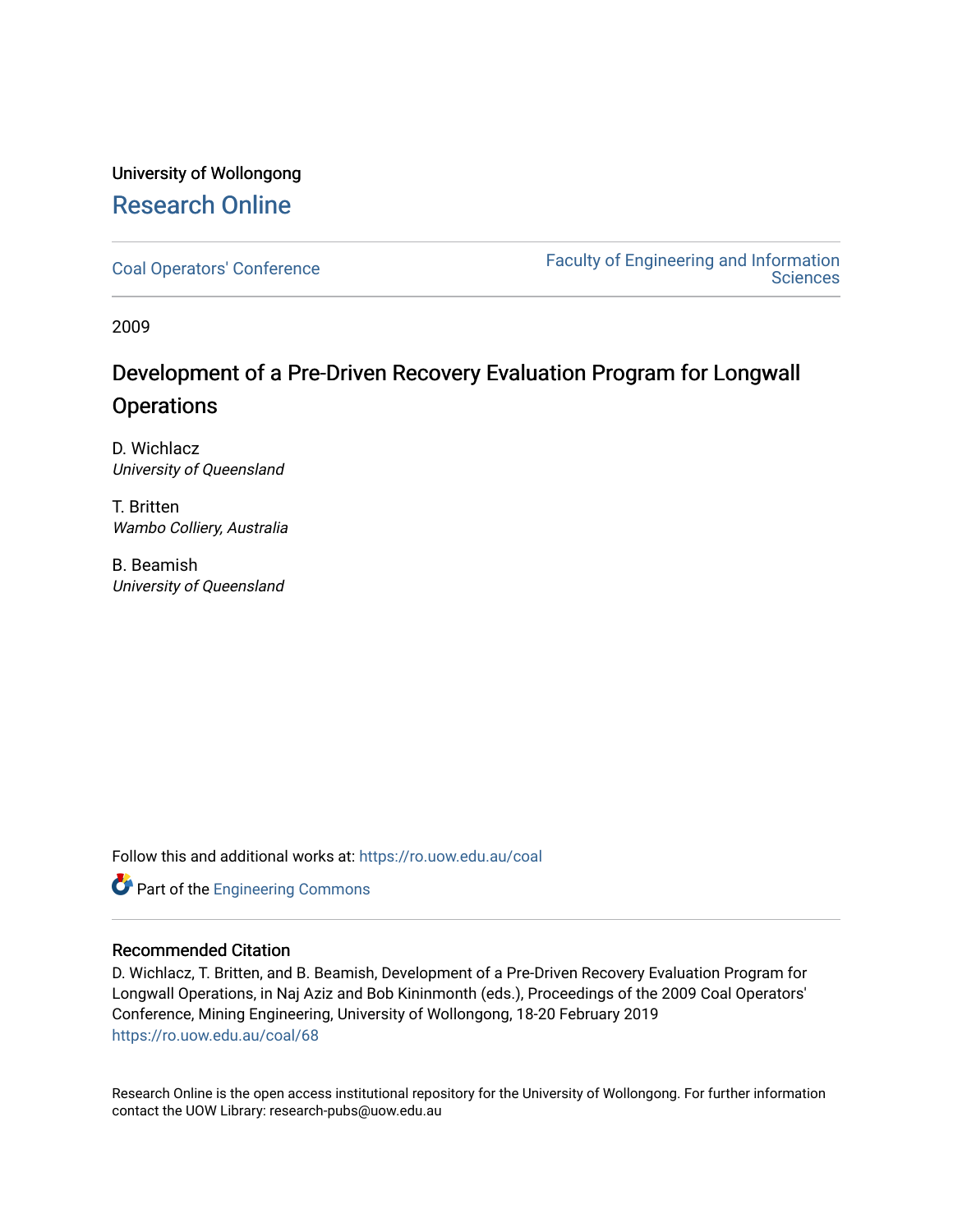# University of Wollongong [Research Online](https://ro.uow.edu.au/)

[Coal Operators' Conference](https://ro.uow.edu.au/coal) [Faculty of Engineering and Information](https://ro.uow.edu.au/eis)  **Sciences** 

2009

# Development of a Pre-Driven Recovery Evaluation Program for Longwall **Operations**

D. Wichlacz University of Queensland

T. Britten Wambo Colliery, Australia

B. Beamish University of Queensland

Follow this and additional works at: [https://ro.uow.edu.au/coal](https://ro.uow.edu.au/coal?utm_source=ro.uow.edu.au%2Fcoal%2F68&utm_medium=PDF&utm_campaign=PDFCoverPages) 



# Recommended Citation

D. Wichlacz, T. Britten, and B. Beamish, Development of a Pre-Driven Recovery Evaluation Program for Longwall Operations, in Naj Aziz and Bob Kininmonth (eds.), Proceedings of the 2009 Coal Operators' Conference, Mining Engineering, University of Wollongong, 18-20 February 2019 [https://ro.uow.edu.au/coal/68](https://ro.uow.edu.au/coal/68?utm_source=ro.uow.edu.au%2Fcoal%2F68&utm_medium=PDF&utm_campaign=PDFCoverPages) 

Research Online is the open access institutional repository for the University of Wollongong. For further information contact the UOW Library: research-pubs@uow.edu.au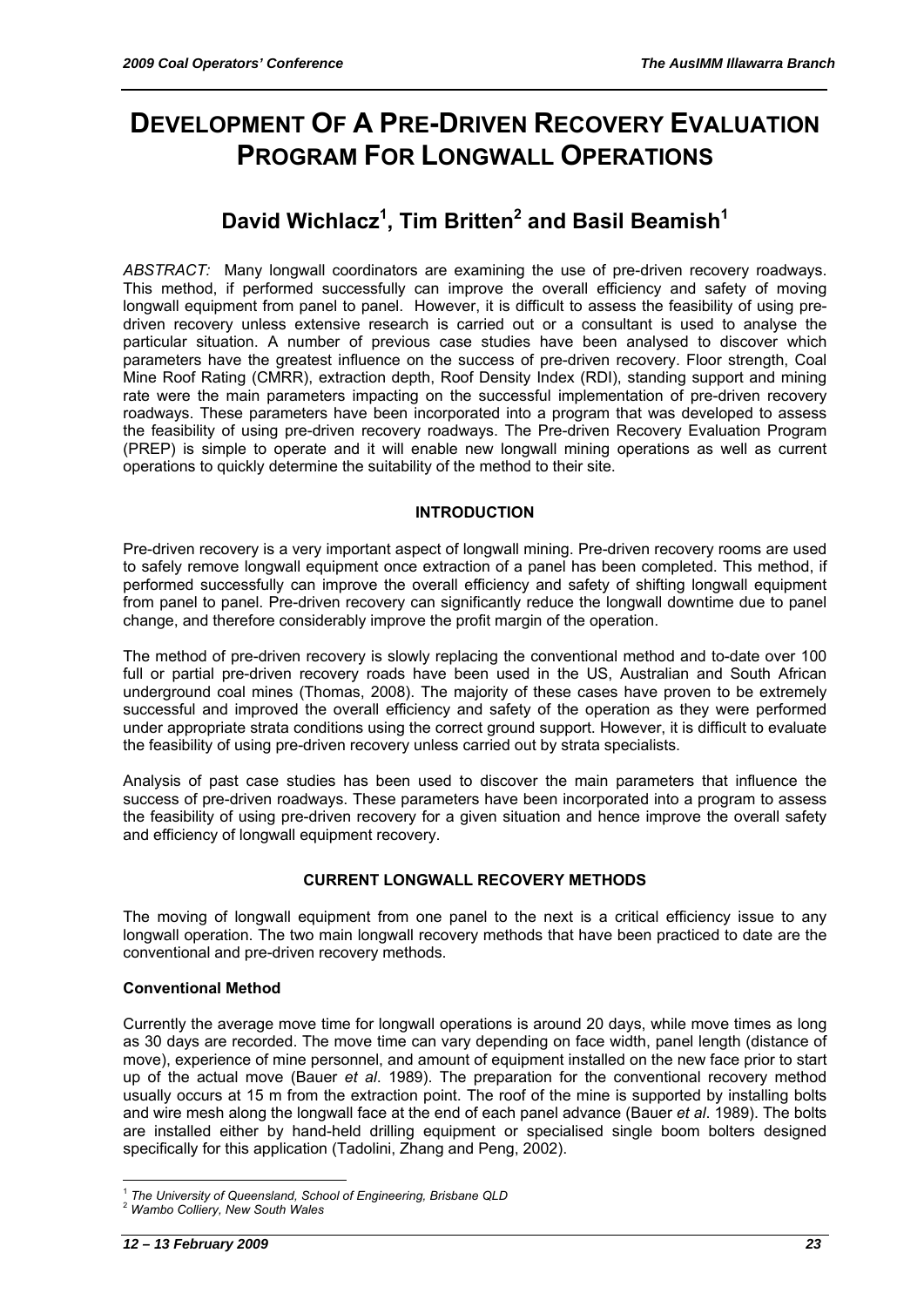# **DEVELOPMENT OF A PRE-DRIVEN RECOVERY EVALUATION PROGRAM FOR LONGWALL OPERATIONS**

# **David Wichlacz1 , Tim Britten<sup>2</sup> and Basil Beamish1**

*ABSTRACT:* Many longwall coordinators are examining the use of pre-driven recovery roadways. This method, if performed successfully can improve the overall efficiency and safety of moving longwall equipment from panel to panel. However, it is difficult to assess the feasibility of using predriven recovery unless extensive research is carried out or a consultant is used to analyse the particular situation. A number of previous case studies have been analysed to discover which parameters have the greatest influence on the success of pre-driven recovery. Floor strength, Coal Mine Roof Rating (CMRR), extraction depth, Roof Density Index (RDI), standing support and mining rate were the main parameters impacting on the successful implementation of pre-driven recovery roadways. These parameters have been incorporated into a program that was developed to assess the feasibility of using pre-driven recovery roadways. The Pre-driven Recovery Evaluation Program (PREP) is simple to operate and it will enable new longwall mining operations as well as current operations to quickly determine the suitability of the method to their site.

# **INTRODUCTION**

Pre-driven recovery is a very important aspect of longwall mining. Pre-driven recovery rooms are used to safely remove longwall equipment once extraction of a panel has been completed. This method, if performed successfully can improve the overall efficiency and safety of shifting longwall equipment from panel to panel. Pre-driven recovery can significantly reduce the longwall downtime due to panel change, and therefore considerably improve the profit margin of the operation.

The method of pre-driven recovery is slowly replacing the conventional method and to-date over 100 full or partial pre-driven recovery roads have been used in the US, Australian and South African underground coal mines (Thomas, 2008). The majority of these cases have proven to be extremely successful and improved the overall efficiency and safety of the operation as they were performed under appropriate strata conditions using the correct ground support. However, it is difficult to evaluate the feasibility of using pre-driven recovery unless carried out by strata specialists.

Analysis of past case studies has been used to discover the main parameters that influence the success of pre-driven roadways. These parameters have been incorporated into a program to assess the feasibility of using pre-driven recovery for a given situation and hence improve the overall safety and efficiency of longwall equipment recovery.

# **CURRENT LONGWALL RECOVERY METHODS**

The moving of longwall equipment from one panel to the next is a critical efficiency issue to any longwall operation. The two main longwall recovery methods that have been practiced to date are the conventional and pre-driven recovery methods.

# **Conventional Method**

Currently the average move time for longwall operations is around 20 days, while move times as long as 30 days are recorded. The move time can vary depending on face width, panel length (distance of move), experience of mine personnel, and amount of equipment installed on the new face prior to start up of the actual move (Bauer *et al*. 1989). The preparation for the conventional recovery method usually occurs at 15 m from the extraction point. The roof of the mine is supported by installing bolts and wire mesh along the longwall face at the end of each panel advance (Bauer *et al*. 1989). The bolts are installed either by hand-held drilling equipment or specialised single boom bolters designed specifically for this application (Tadolini, Zhang and Peng, 2002).

 $\overline{a}$ <sup>1</sup> *The University of Queensland, School of Engineering, Brisbane QLD* <sup>2</sup> *Wambo Colliery, New South Wales*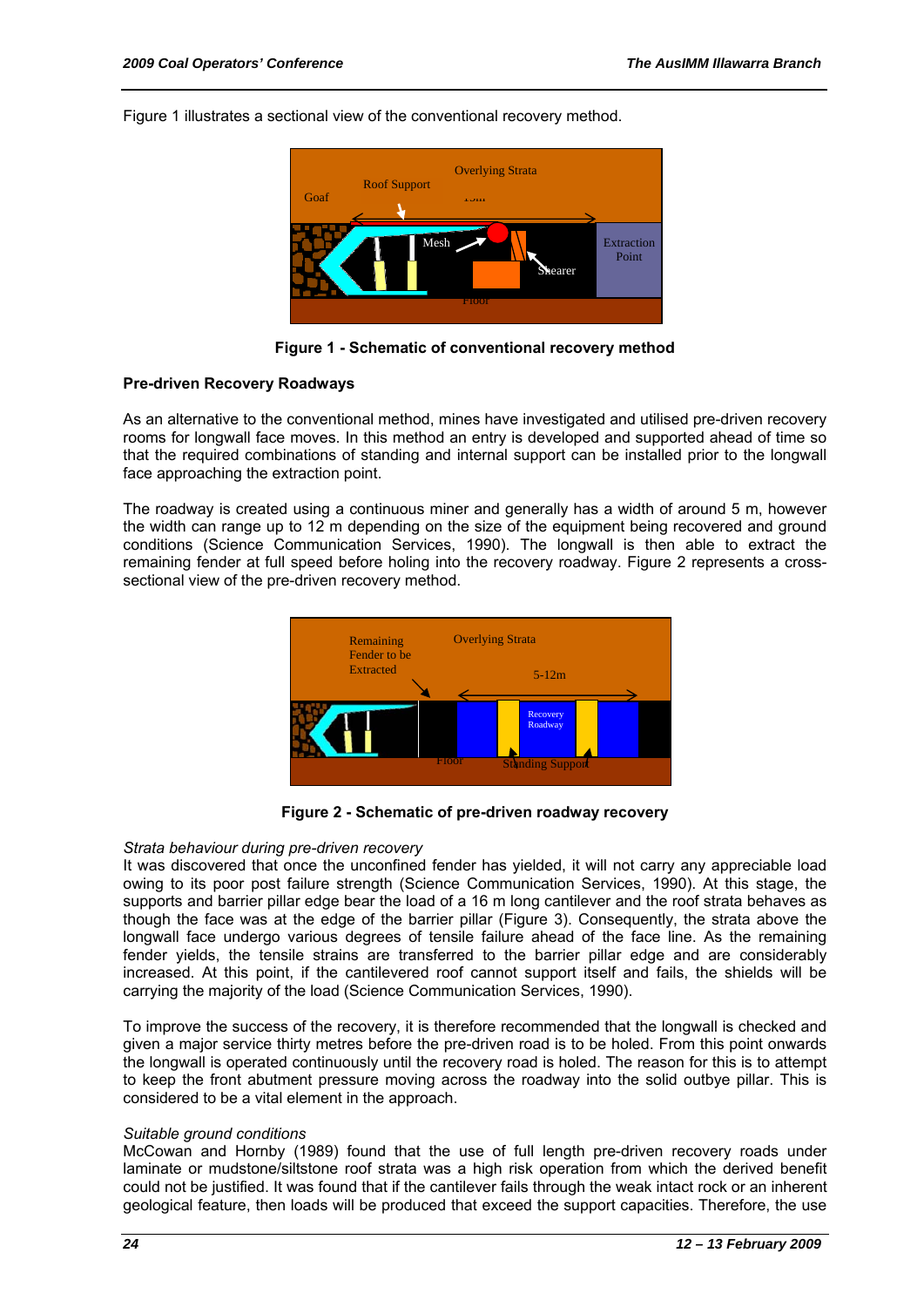Figure 1 illustrates a sectional view of the conventional recovery method.



**Figure 1 - Schematic of conventional recovery method** 

#### **Pre-driven Recovery Roadways**

As an alternative to the conventional method, mines have investigated and utilised pre-driven recovery rooms for longwall face moves. In this method an entry is developed and supported ahead of time so that the required combinations of standing and internal support can be installed prior to the longwall face approaching the extraction point.

The roadway is created using a continuous miner and generally has a width of around 5 m, however the width can range up to 12 m depending on the size of the equipment being recovered and ground conditions (Science Communication Services, 1990). The longwall is then able to extract the remaining fender at full speed before holing into the recovery roadway. Figure 2 represents a crosssectional view of the pre-driven recovery method.



**Figure 2 - Schematic of pre-driven roadway recovery** 

#### *Strata behaviour during pre-driven recovery*

It was discovered that once the unconfined fender has yielded, it will not carry any appreciable load owing to its poor post failure strength (Science Communication Services, 1990). At this stage, the supports and barrier pillar edge bear the load of a 16 m long cantilever and the roof strata behaves as though the face was at the edge of the barrier pillar (Figure 3). Consequently, the strata above the longwall face undergo various degrees of tensile failure ahead of the face line. As the remaining fender yields, the tensile strains are transferred to the barrier pillar edge and are considerably increased. At this point, if the cantilevered roof cannot support itself and fails, the shields will be carrying the majority of the load (Science Communication Services, 1990).

To improve the success of the recovery, it is therefore recommended that the longwall is checked and given a major service thirty metres before the pre-driven road is to be holed. From this point onwards the longwall is operated continuously until the recovery road is holed. The reason for this is to attempt to keep the front abutment pressure moving across the roadway into the solid outbye pillar. This is considered to be a vital element in the approach.

#### *Suitable ground conditions*

McCowan and Hornby (1989) found that the use of full length pre-driven recovery roads under laminate or mudstone/siltstone roof strata was a high risk operation from which the derived benefit could not be justified. It was found that if the cantilever fails through the weak intact rock or an inherent geological feature, then loads will be produced that exceed the support capacities. Therefore, the use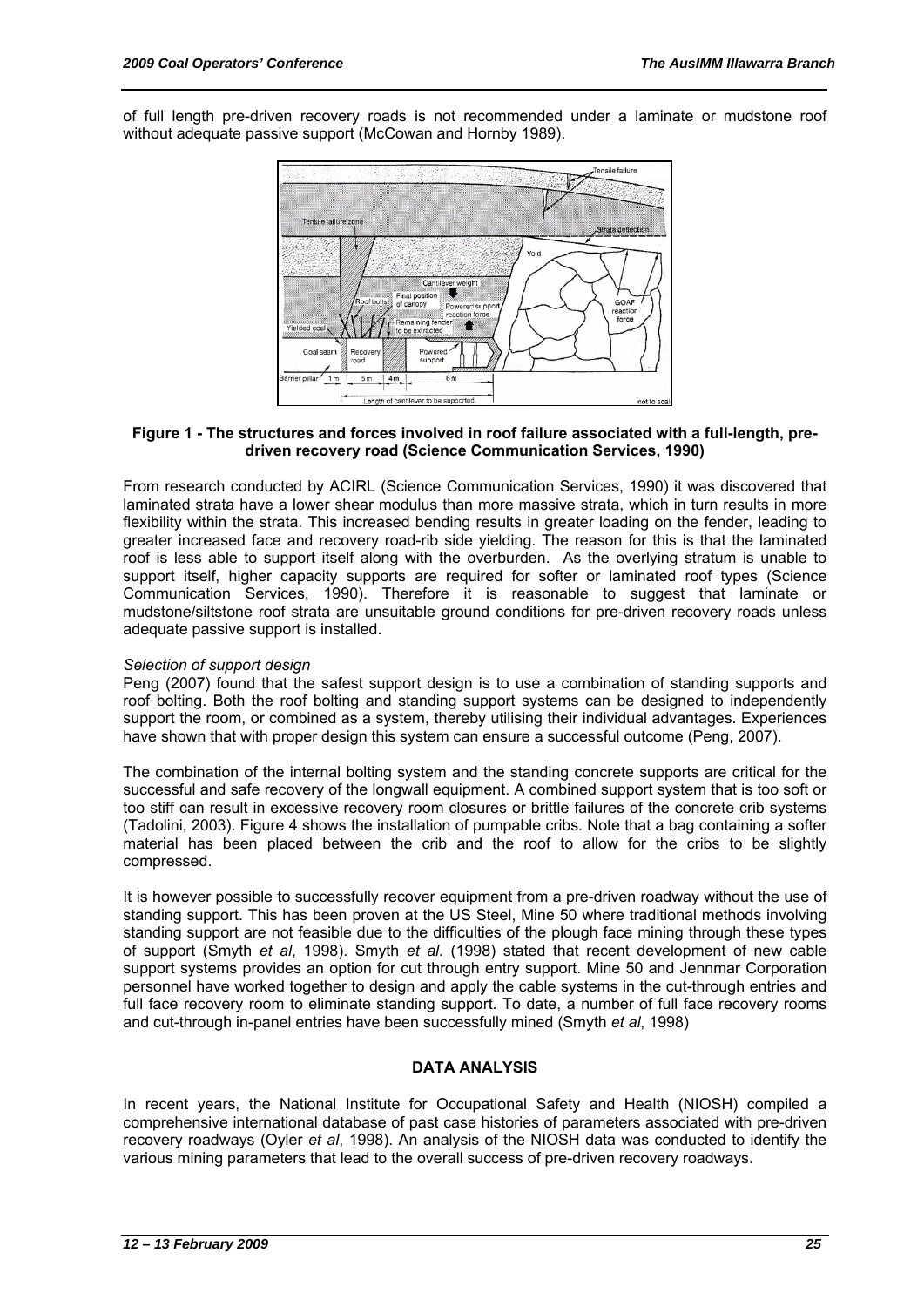of full length pre-driven recovery roads is not recommended under a laminate or mudstone roof without adequate passive support (McCowan and Hornby 1989).



#### **Figure 1 - The structures and forces involved in roof failure associated with a full-length, predriven recovery road (Science Communication Services, 1990)**

From research conducted by ACIRL (Science Communication Services, 1990) it was discovered that laminated strata have a lower shear modulus than more massive strata, which in turn results in more flexibility within the strata. This increased bending results in greater loading on the fender, leading to greater increased face and recovery road-rib side yielding. The reason for this is that the laminated roof is less able to support itself along with the overburden. As the overlying stratum is unable to support itself, higher capacity supports are required for softer or laminated roof types (Science Communication Services, 1990). Therefore it is reasonable to suggest that laminate or mudstone/siltstone roof strata are unsuitable ground conditions for pre-driven recovery roads unless adequate passive support is installed.

# *Selection of support design*

Peng (2007) found that the safest support design is to use a combination of standing supports and roof bolting. Both the roof bolting and standing support systems can be designed to independently support the room, or combined as a system, thereby utilising their individual advantages. Experiences have shown that with proper design this system can ensure a successful outcome (Peng, 2007).

The combination of the internal bolting system and the standing concrete supports are critical for the successful and safe recovery of the longwall equipment. A combined support system that is too soft or too stiff can result in excessive recovery room closures or brittle failures of the concrete crib systems (Tadolini, 2003). Figure 4 shows the installation of pumpable cribs. Note that a bag containing a softer material has been placed between the crib and the roof to allow for the cribs to be slightly compressed.

It is however possible to successfully recover equipment from a pre-driven roadway without the use of standing support. This has been proven at the US Steel, Mine 50 where traditional methods involving standing support are not feasible due to the difficulties of the plough face mining through these types of support (Smyth *et al*, 1998). Smyth *et al*. (1998) stated that recent development of new cable support systems provides an option for cut through entry support. Mine 50 and Jennmar Corporation personnel have worked together to design and apply the cable systems in the cut-through entries and full face recovery room to eliminate standing support. To date, a number of full face recovery rooms and cut-through in-panel entries have been successfully mined (Smyth *et al*, 1998)

# **DATA ANALYSIS**

In recent years, the National Institute for Occupational Safety and Health (NIOSH) compiled a comprehensive international database of past case histories of parameters associated with pre-driven recovery roadways (Oyler *et al*, 1998). An analysis of the NIOSH data was conducted to identify the various mining parameters that lead to the overall success of pre-driven recovery roadways.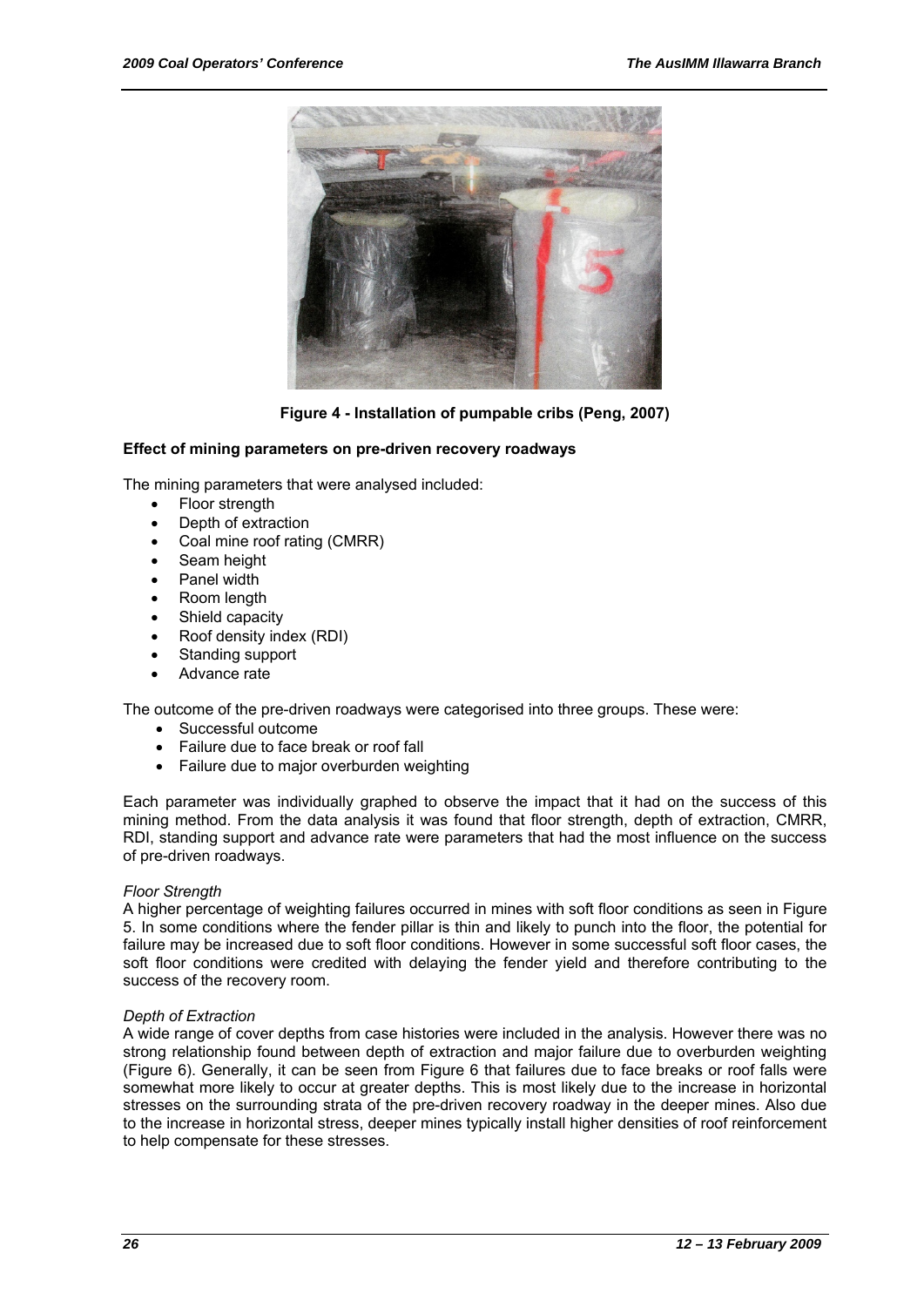

**Figure 4 - Installation of pumpable cribs (Peng, 2007)** 

#### **Effect of mining parameters on pre-driven recovery roadways**

The mining parameters that were analysed included:

- **Floor strength**
- Depth of extraction
- Coal mine roof rating (CMRR)
- Seam height
- Panel width
- Room length
- Shield capacity
- Roof density index (RDI)
- Standing support
- Advance rate

The outcome of the pre-driven roadways were categorised into three groups. These were:

- Successful outcome
- Failure due to face break or roof fall
- Failure due to major overburden weighting

Each parameter was individually graphed to observe the impact that it had on the success of this mining method. From the data analysis it was found that floor strength, depth of extraction, CMRR, RDI, standing support and advance rate were parameters that had the most influence on the success of pre-driven roadways.

#### *Floor Strength*

A higher percentage of weighting failures occurred in mines with soft floor conditions as seen in Figure 5. In some conditions where the fender pillar is thin and likely to punch into the floor, the potential for failure may be increased due to soft floor conditions. However in some successful soft floor cases, the soft floor conditions were credited with delaying the fender yield and therefore contributing to the success of the recovery room.

#### *Depth of Extraction*

A wide range of cover depths from case histories were included in the analysis. However there was no strong relationship found between depth of extraction and major failure due to overburden weighting (Figure 6). Generally, it can be seen from Figure 6 that failures due to face breaks or roof falls were somewhat more likely to occur at greater depths. This is most likely due to the increase in horizontal stresses on the surrounding strata of the pre-driven recovery roadway in the deeper mines. Also due to the increase in horizontal stress, deeper mines typically install higher densities of roof reinforcement to help compensate for these stresses.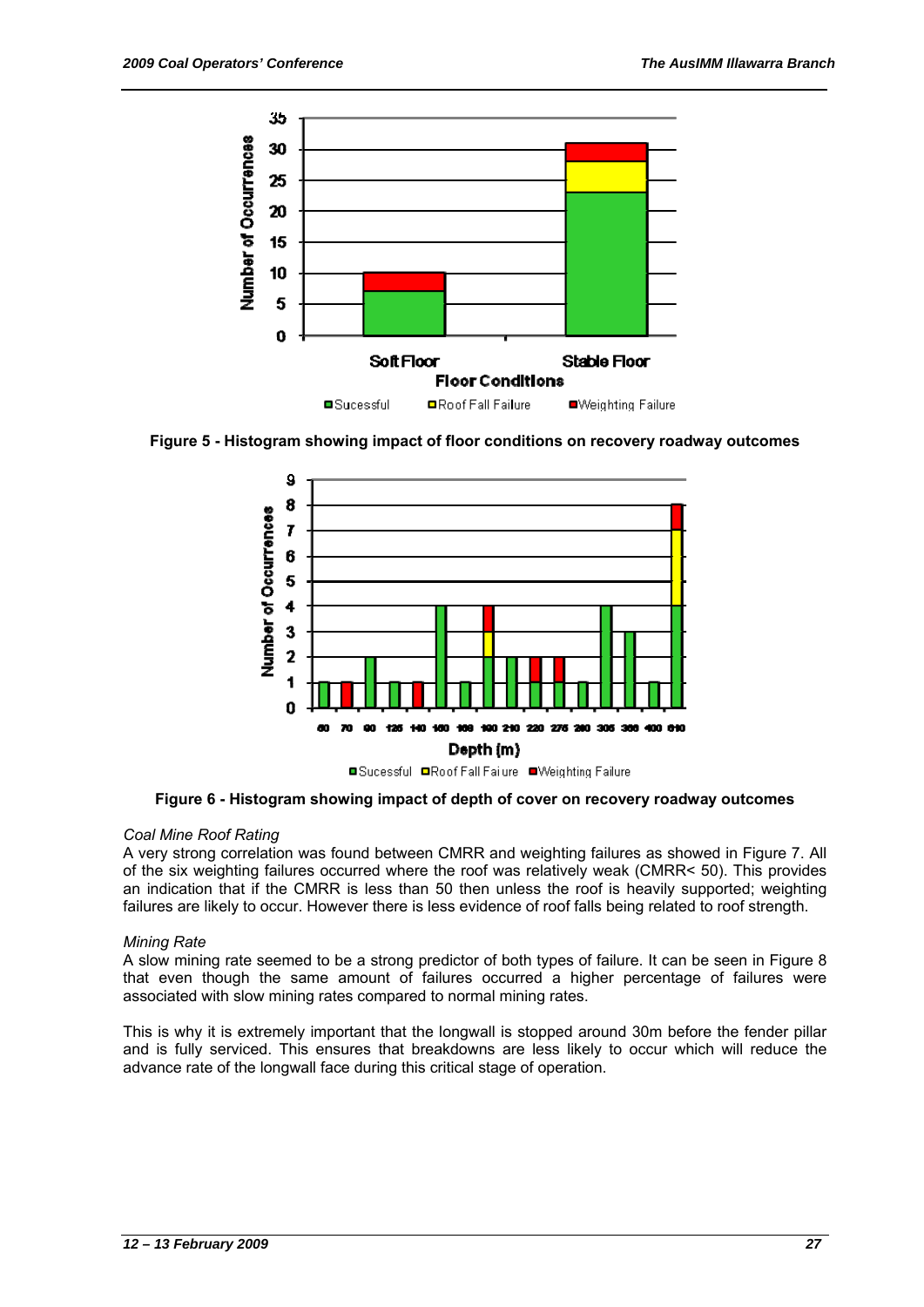

**Figure 5 - Histogram showing impact of floor conditions on recovery roadway outcomes** 



**Figure 6 - Histogram showing impact of depth of cover on recovery roadway outcomes** 

# *Coal Mine Roof Rating*

A very strong correlation was found between CMRR and weighting failures as showed in Figure 7. All of the six weighting failures occurred where the roof was relatively weak (CMRR< 50). This provides an indication that if the CMRR is less than 50 then unless the roof is heavily supported; weighting failures are likely to occur. However there is less evidence of roof falls being related to roof strength.

# *Mining Rate*

A slow mining rate seemed to be a strong predictor of both types of failure. It can be seen in Figure 8 that even though the same amount of failures occurred a higher percentage of failures were associated with slow mining rates compared to normal mining rates.

This is why it is extremely important that the longwall is stopped around 30m before the fender pillar and is fully serviced. This ensures that breakdowns are less likely to occur which will reduce the advance rate of the longwall face during this critical stage of operation.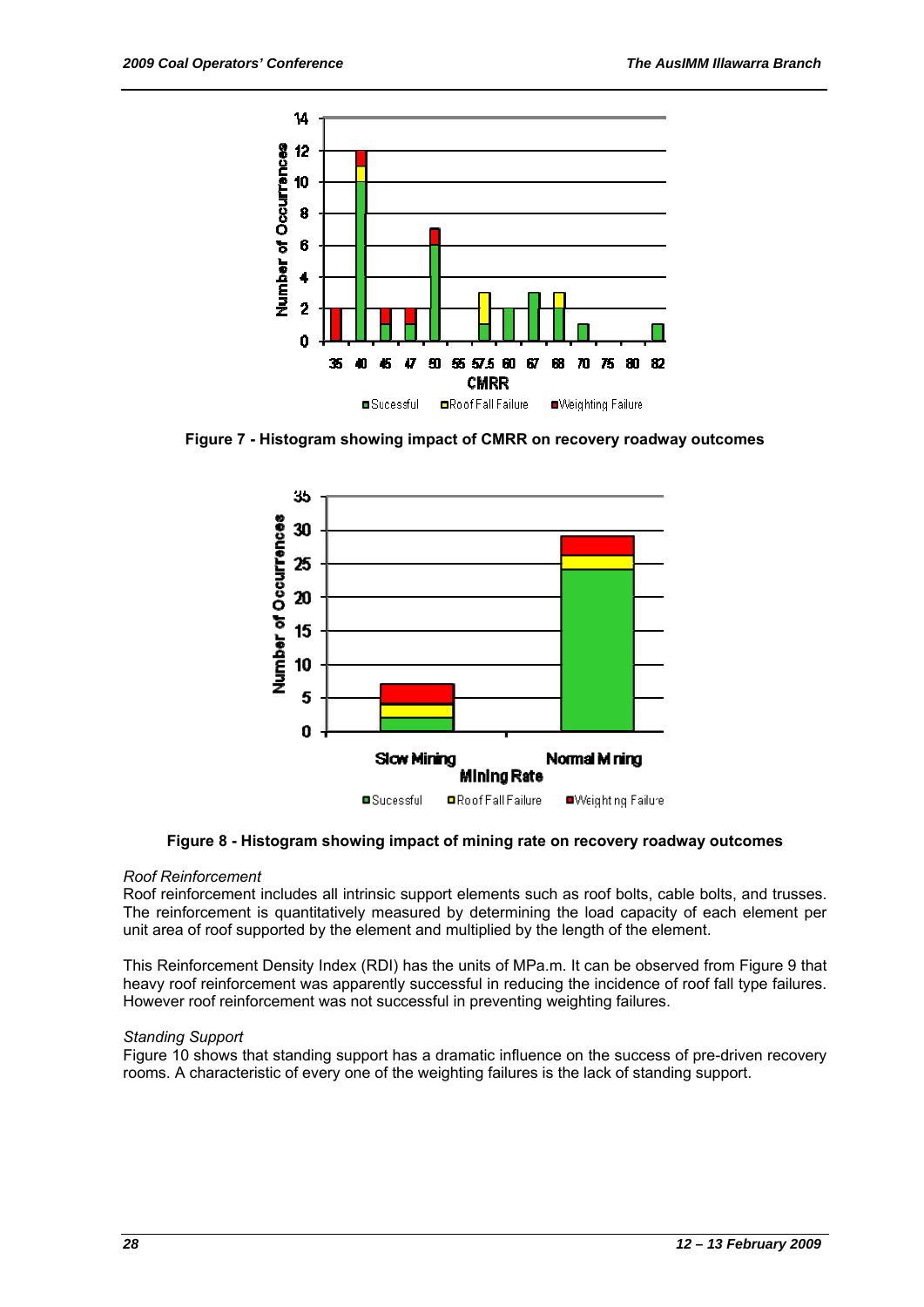

**Figure 7 - Histogram showing impact of CMRR on recovery roadway outcomes** 



**Figure 8 - Histogram showing impact of mining rate on recovery roadway outcomes** 

#### *Roof Reinforcement*

Roof reinforcement includes all intrinsic support elements such as roof bolts, cable bolts, and trusses. The reinforcement is quantitatively measured by determining the load capacity of each element per unit area of roof supported by the element and multiplied by the length of the element.

This Reinforcement Density Index (RDI) has the units of MPa.m. It can be observed from Figure 9 that heavy roof reinforcement was apparently successful in reducing the incidence of roof fall type failures. However roof reinforcement was not successful in preventing weighting failures.

# *Standing Support*

Figure 10 shows that standing support has a dramatic influence on the success of pre-driven recovery rooms. A characteristic of every one of the weighting failures is the lack of standing support.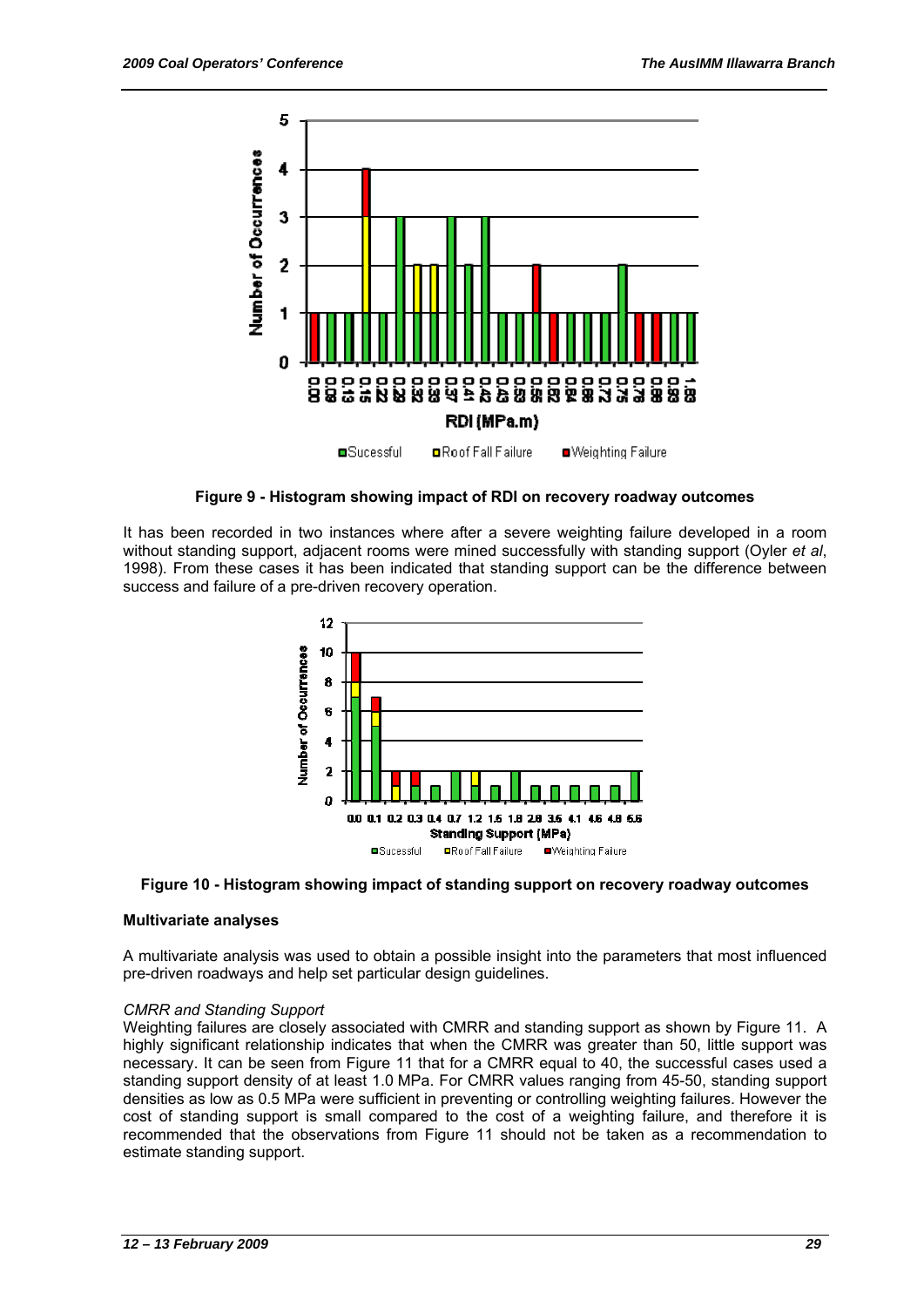

**Figure 9 - Histogram showing impact of RDI on recovery roadway outcomes** 

It has been recorded in two instances where after a severe weighting failure developed in a room without standing support, adjacent rooms were mined successfully with standing support (Oyler *et al*, 1998). From these cases it has been indicated that standing support can be the difference between success and failure of a pre-driven recovery operation.





#### **Multivariate analyses**

A multivariate analysis was used to obtain a possible insight into the parameters that most influenced pre-driven roadways and help set particular design guidelines.

#### *CMRR and Standing Support*

Weighting failures are closely associated with CMRR and standing support as shown by Figure 11. A highly significant relationship indicates that when the CMRR was greater than 50, little support was necessary. It can be seen from Figure 11 that for a CMRR equal to 40, the successful cases used a standing support density of at least 1.0 MPa. For CMRR values ranging from 45-50, standing support densities as low as 0.5 MPa were sufficient in preventing or controlling weighting failures. However the cost of standing support is small compared to the cost of a weighting failure, and therefore it is recommended that the observations from Figure 11 should not be taken as a recommendation to estimate standing support.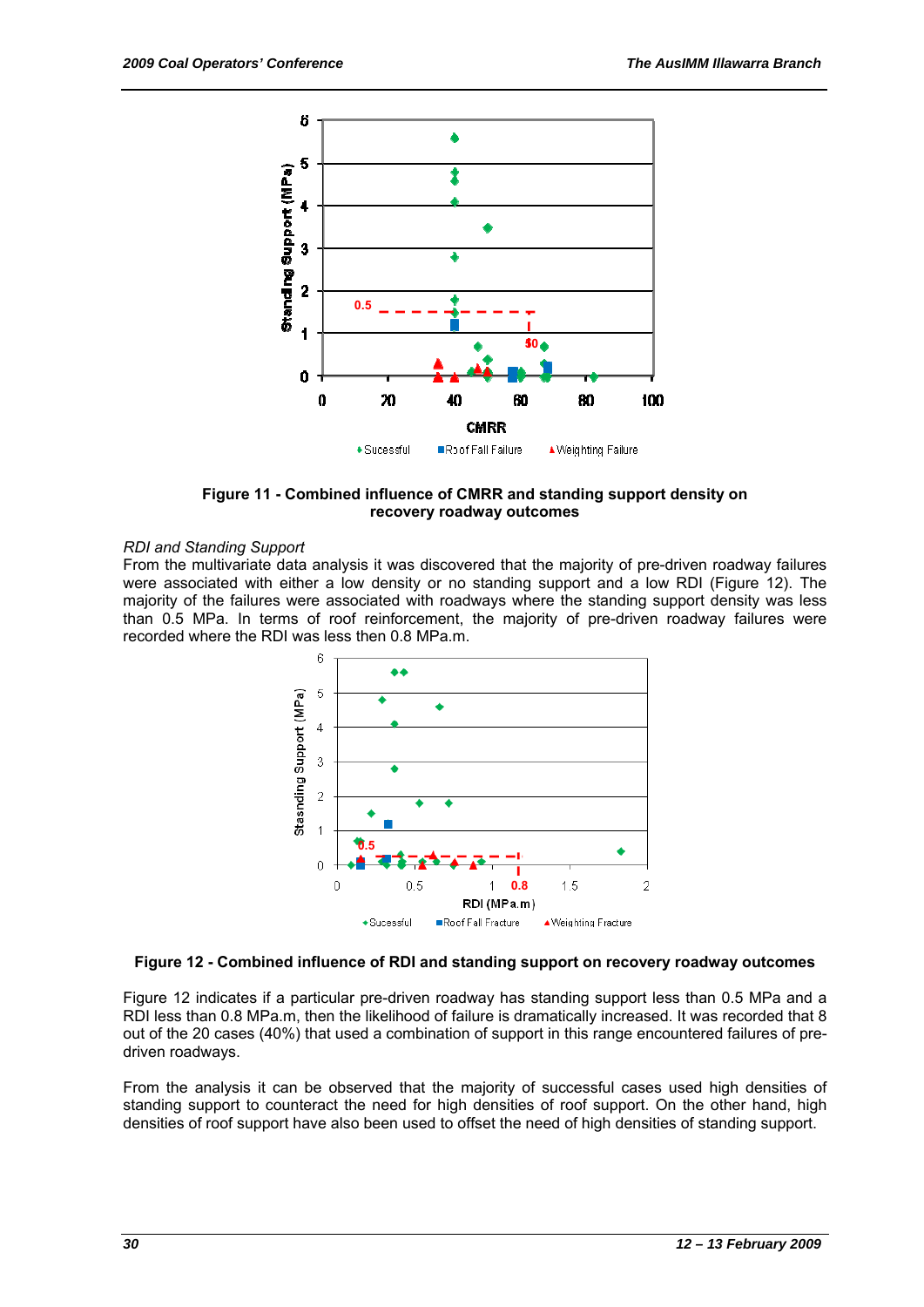

**Figure 11 - Combined influence of CMRR and standing support density on recovery roadway outcomes** 

#### *RDI and Standing Support*

From the multivariate data analysis it was discovered that the majority of pre-driven roadway failures were associated with either a low density or no standing support and a low RDI (Figure 12). The majority of the failures were associated with roadways where the standing support density was less than 0.5 MPa. In terms of roof reinforcement, the majority of pre-driven roadway failures were recorded where the RDI was less then 0.8 MPa.m.



#### **Figure 12 - Combined influence of RDI and standing support on recovery roadway outcomes**

Figure 12 indicates if a particular pre-driven roadway has standing support less than 0.5 MPa and a RDI less than 0.8 MPa.m, then the likelihood of failure is dramatically increased. It was recorded that 8 out of the 20 cases (40%) that used a combination of support in this range encountered failures of predriven roadways.

From the analysis it can be observed that the majority of successful cases used high densities of standing support to counteract the need for high densities of roof support. On the other hand, high densities of roof support have also been used to offset the need of high densities of standing support.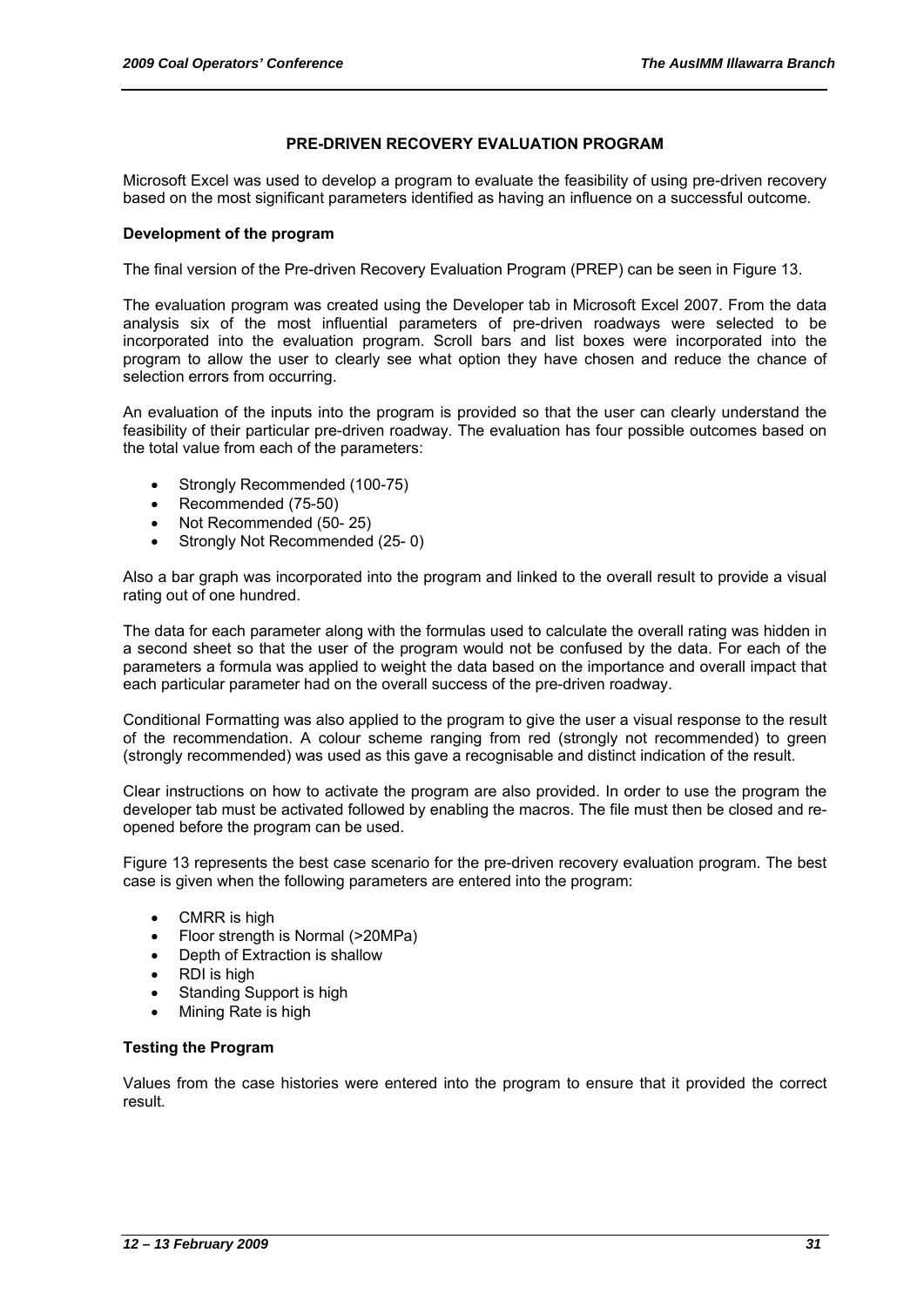#### **PRE-DRIVEN RECOVERY EVALUATION PROGRAM**

Microsoft Excel was used to develop a program to evaluate the feasibility of using pre-driven recovery based on the most significant parameters identified as having an influence on a successful outcome.

#### **Development of the program**

The final version of the Pre-driven Recovery Evaluation Program (PREP) can be seen in Figure 13.

The evaluation program was created using the Developer tab in Microsoft Excel 2007. From the data analysis six of the most influential parameters of pre-driven roadways were selected to be incorporated into the evaluation program. Scroll bars and list boxes were incorporated into the program to allow the user to clearly see what option they have chosen and reduce the chance of selection errors from occurring.

An evaluation of the inputs into the program is provided so that the user can clearly understand the feasibility of their particular pre-driven roadway. The evaluation has four possible outcomes based on the total value from each of the parameters:

- Strongly Recommended (100-75)
- Recommended (75-50)
- Not Recommended (50- 25)
- Strongly Not Recommended (25-0)

Also a bar graph was incorporated into the program and linked to the overall result to provide a visual rating out of one hundred.

The data for each parameter along with the formulas used to calculate the overall rating was hidden in a second sheet so that the user of the program would not be confused by the data. For each of the parameters a formula was applied to weight the data based on the importance and overall impact that each particular parameter had on the overall success of the pre-driven roadway.

Conditional Formatting was also applied to the program to give the user a visual response to the result of the recommendation. A colour scheme ranging from red (strongly not recommended) to green (strongly recommended) was used as this gave a recognisable and distinct indication of the result.

Clear instructions on how to activate the program are also provided. In order to use the program the developer tab must be activated followed by enabling the macros. The file must then be closed and reopened before the program can be used.

Figure 13 represents the best case scenario for the pre-driven recovery evaluation program. The best case is given when the following parameters are entered into the program:

- CMRR is high
- Floor strength is Normal (>20MPa)
- Depth of Extraction is shallow
- RDI is high
- Standing Support is high
- Mining Rate is high

#### **Testing the Program**

Values from the case histories were entered into the program to ensure that it provided the correct result.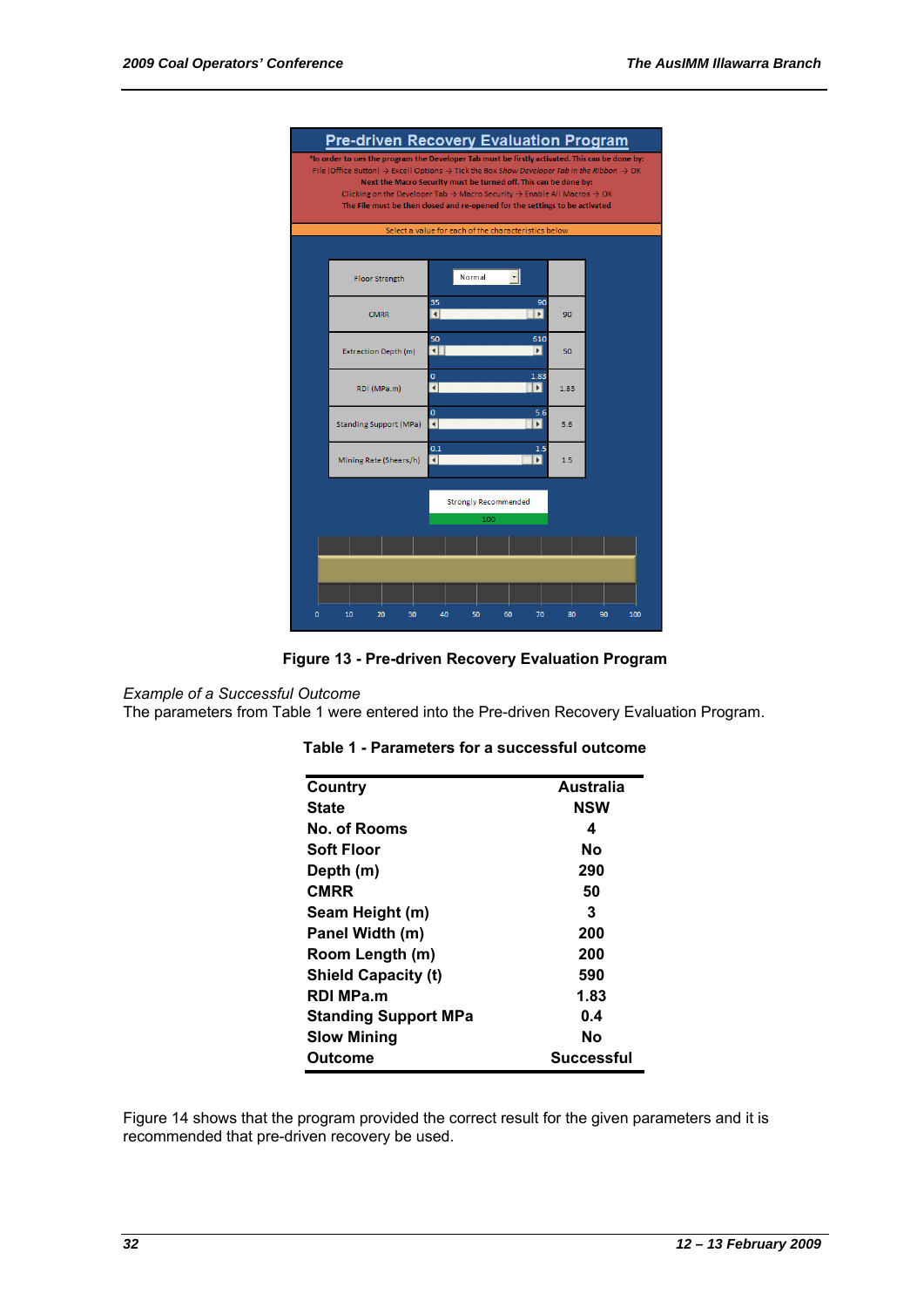



#### *Example of a Successful Outcome*

The parameters from Table 1 were entered into the Pre-driven Recovery Evaluation Program.

| Country                     | Australia  |
|-----------------------------|------------|
| <b>State</b>                | <b>NSW</b> |
| No. of Rooms                | 4          |
| Soft Floor                  | Nο         |
| Depth (m)                   | 290        |
| <b>CMRR</b>                 | 50         |
| Seam Height (m)             | 3          |
| Panel Width (m)             | 200        |
| Room Length (m)             | 200        |
| <b>Shield Capacity (t)</b>  | 590        |
| RDI MPa.m                   | 1.83       |
| <b>Standing Support MPa</b> | 0.4        |
| <b>Slow Mining</b>          | Nο         |
| Outcome                     | Successful |

#### **Table 1 - Parameters for a successful outcome**

Figure 14 shows that the program provided the correct result for the given parameters and it is recommended that pre-driven recovery be used.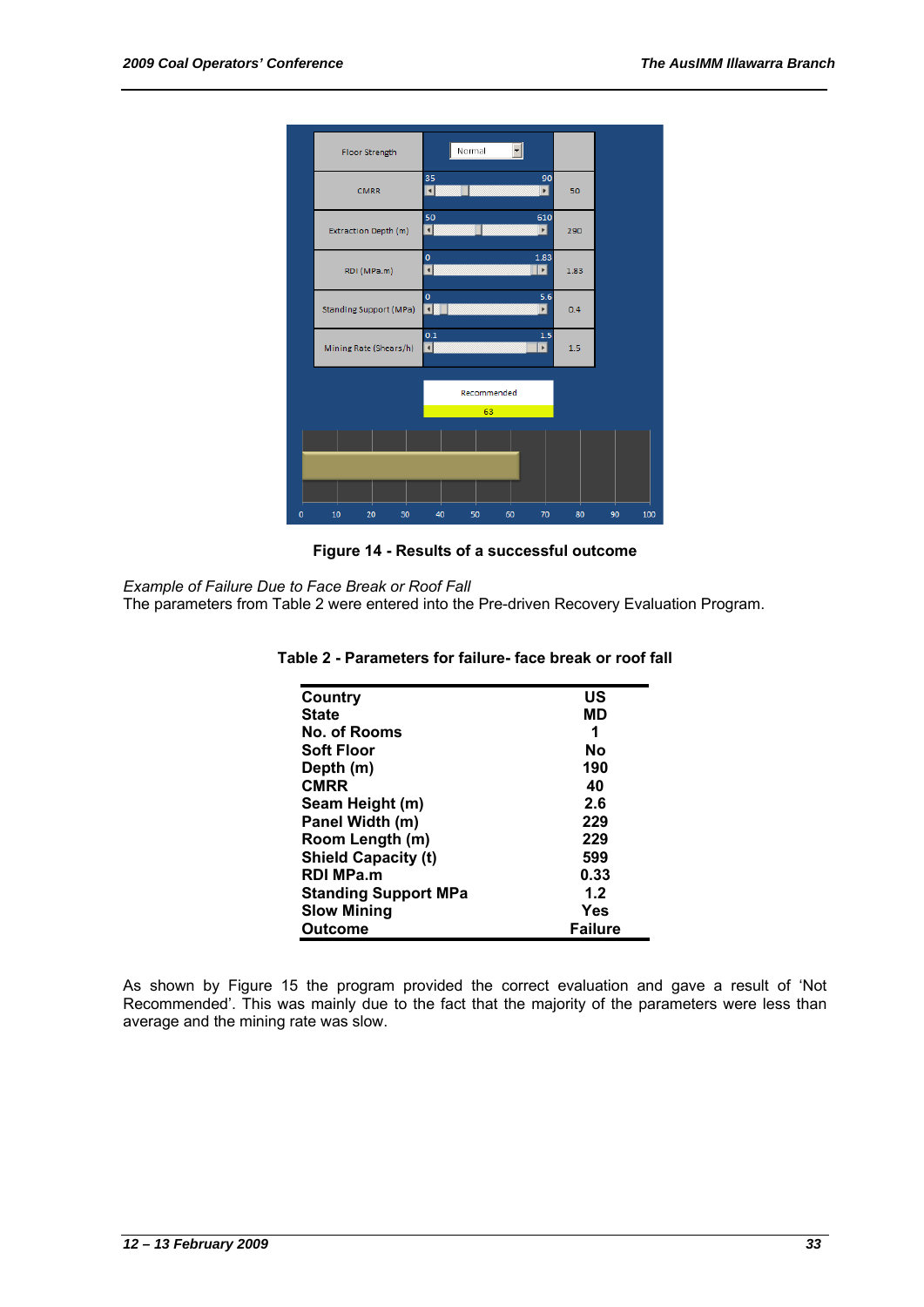

# **Figure 14 - Results of a successful outcome**

*Example of Failure Due to Face Break or Roof Fall* 

The parameters from Table 2 were entered into the Pre-driven Recovery Evaluation Program.

| Country                     | US             |
|-----------------------------|----------------|
| <b>State</b>                | МD             |
| No. of Rooms                | 1              |
| <b>Soft Floor</b>           | No             |
| Depth (m)                   | 190            |
| <b>CMRR</b>                 | 40             |
| Seam Height (m)             | 2.6            |
| Panel Width (m)             | 229            |
| Room Length (m)             | 229            |
| <b>Shield Capacity (t)</b>  | 599            |
| <b>RDI MPa.m</b>            | 0.33           |
| <b>Standing Support MPa</b> | 1.2            |
| <b>Slow Mining</b>          | Yes            |
| <b>Outcome</b>              | <b>Failure</b> |

#### **Table 2 - Parameters for failure- face break or roof fall**

As shown by Figure 15 the program provided the correct evaluation and gave a result of 'Not Recommended'. This was mainly due to the fact that the majority of the parameters were less than average and the mining rate was slow.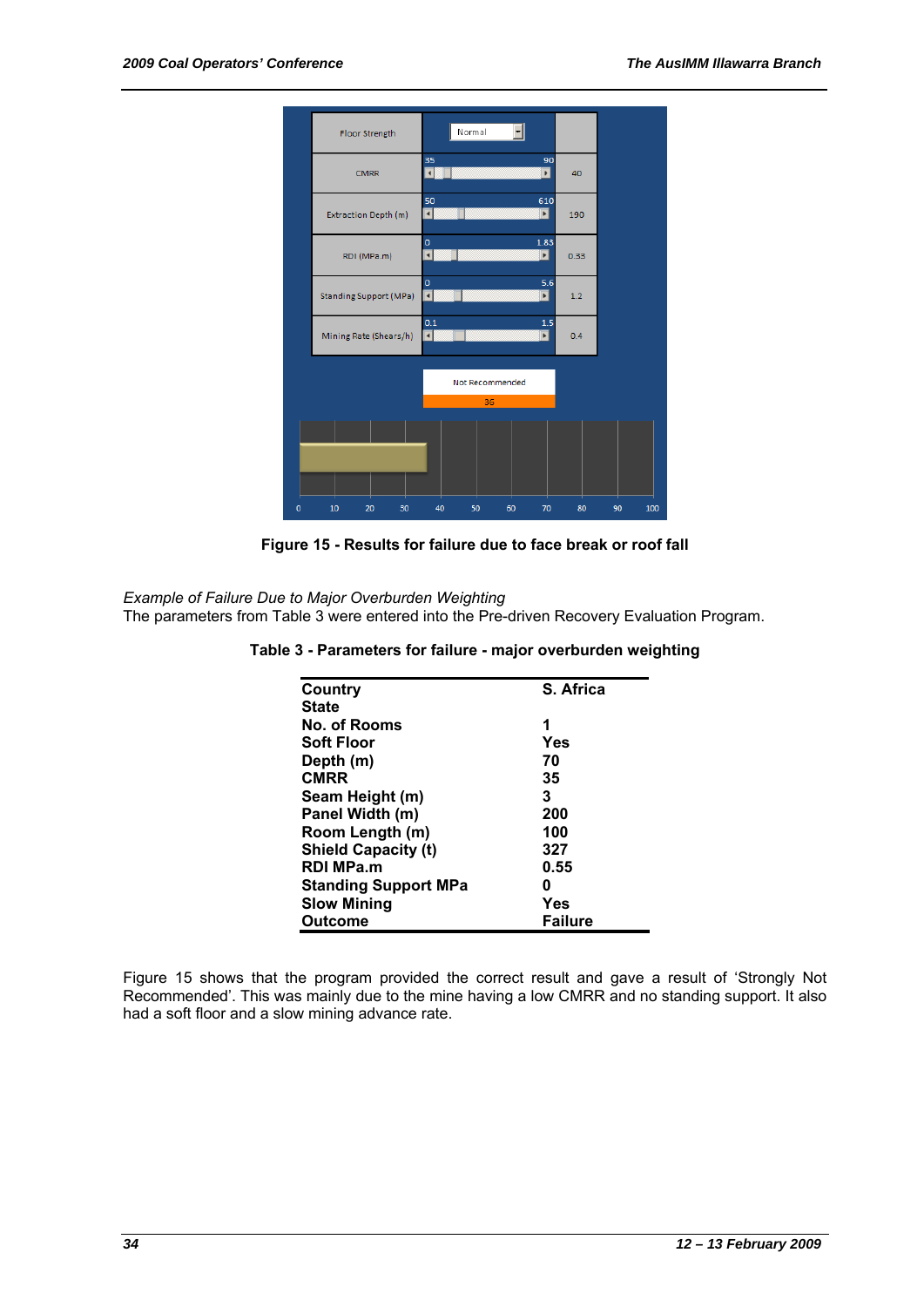

**Figure 15 - Results for failure due to face break or roof fall**

*Example of Failure Due to Major Overburden Weighting*  The parameters from Table 3 were entered into the Pre-driven Recovery Evaluation Program.

| Country                     | S. Africa      |
|-----------------------------|----------------|
| <b>State</b>                |                |
| No. of Rooms                | 1              |
| <b>Soft Floor</b>           | Yes            |
| Depth (m)                   | 70             |
| <b>CMRR</b>                 | 35             |
| Seam Height (m)             | 3              |
| Panel Width (m)             | 200            |
| Room Length (m)             | 100            |
| <b>Shield Capacity (t)</b>  | 327            |
| <b>RDI MPa.m</b>            | 0.55           |
| <b>Standing Support MPa</b> | 0              |
| <b>Slow Mining</b>          | Yes            |
| <b>Outcome</b>              | <b>Failure</b> |

**Table 3 - Parameters for failure - major overburden weighting** 

Figure 15 shows that the program provided the correct result and gave a result of 'Strongly Not Recommended'. This was mainly due to the mine having a low CMRR and no standing support. It also had a soft floor and a slow mining advance rate.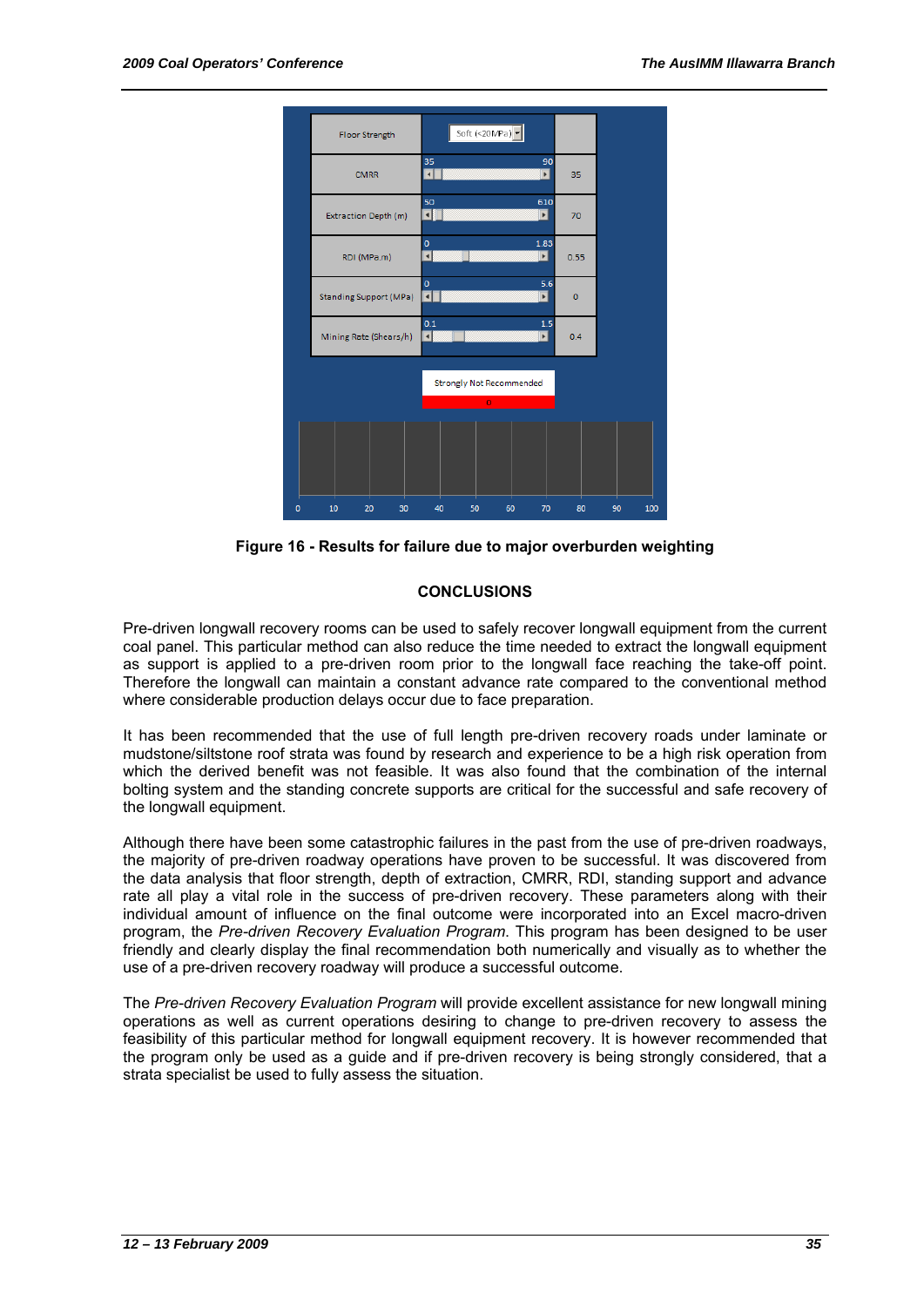

**Figure 16 - Results for failure due to major overburden weighting** 

# **CONCLUSIONS**

Pre-driven longwall recovery rooms can be used to safely recover longwall equipment from the current coal panel. This particular method can also reduce the time needed to extract the longwall equipment as support is applied to a pre-driven room prior to the longwall face reaching the take-off point. Therefore the longwall can maintain a constant advance rate compared to the conventional method where considerable production delays occur due to face preparation.

It has been recommended that the use of full length pre-driven recovery roads under laminate or mudstone/siltstone roof strata was found by research and experience to be a high risk operation from which the derived benefit was not feasible. It was also found that the combination of the internal bolting system and the standing concrete supports are critical for the successful and safe recovery of the longwall equipment.

Although there have been some catastrophic failures in the past from the use of pre-driven roadways, the majority of pre-driven roadway operations have proven to be successful. It was discovered from the data analysis that floor strength, depth of extraction, CMRR, RDI, standing support and advance rate all play a vital role in the success of pre-driven recovery. These parameters along with their individual amount of influence on the final outcome were incorporated into an Excel macro-driven program, the *Pre-driven Recovery Evaluation Program*. This program has been designed to be user friendly and clearly display the final recommendation both numerically and visually as to whether the use of a pre-driven recovery roadway will produce a successful outcome.

The *Pre-driven Recovery Evaluation Program* will provide excellent assistance for new longwall mining operations as well as current operations desiring to change to pre-driven recovery to assess the feasibility of this particular method for longwall equipment recovery. It is however recommended that the program only be used as a guide and if pre-driven recovery is being strongly considered, that a strata specialist be used to fully assess the situation.